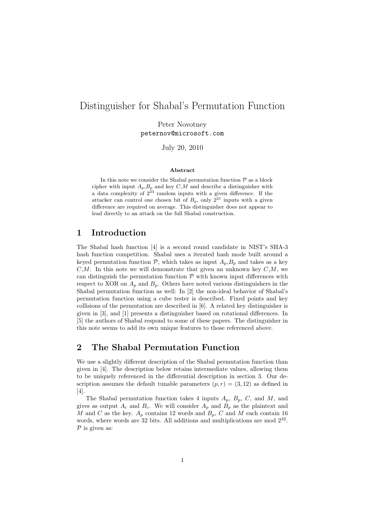# Distinguisher for Shabal's Permutation Function

Peter Novotney peternov@microsoft.com

July 20, 2010

#### Abstract

In this note we consider the Shabal permutation function  $P$  as a block cipher with input  $A_p$ ,  $B_p$  and key  $C$ , M and describe a distinguisher with a data complexity of  $2^{23}$  random inputs with a given difference. If the attacker can control one chosen bit of  $B_p$ , only  $2^{21}$  inputs with a given difference are required on average. This distinguisher does not appear to lead directly to an attack on the full Shabal construction.

### 1 Introduction

The Shabal hash function [4] is a second round candidate in NIST's SHA-3 hash function competition. Shabal uses a iterated hash mode built around a keyed permutation function  $P$ , which takes as input  $A_p$ ,  $B_p$  and takes as a key  $C,M$ . In this note we will demonstrate that given an unknown key  $C,M$ , we can distinguish the permutation function  $P$  with known input differences with respect to XOR on  $A_p$  and  $B_p$ . Others have noted various distinguishers in the Shabal permutation function as well: In [2] the non-ideal behavior of Shabal's permutation function using a cube tester is described. Fixed points and key collisions of the permutation are described in [6]. A related key distinguisher is given in [3], and [1] presents a distinguisher based on rotational differences. In [5] the authors of Shabal respond to some of these papers. The distinguisher in this note seems to add its own unique features to those referenced above.

## 2 The Shabal Permutation Function

We use a slightly different description of the Shabal permutation function than given in [4]. The description below retains intermediate values, allowing them to be uniquely referenced in the differential description in section 3. Our description assumes the default tunable parameters  $(p, r) = (3, 12)$  as defined in [4].

The Shabal permutation function takes 4 inputs  $A_p$ ,  $B_p$ , C, and M, and gives as output  $A_c$  and  $B_c$ . We will consider  $A_p$  and  $B_p$  as the plaintext and M and C as the key.  $A_p$  contains 12 words and  $B_p$ , C and M each contain 16 words, where words are 32 bits. All additions and multiplications are mod  $2^{32}$ .  $P$  is given as: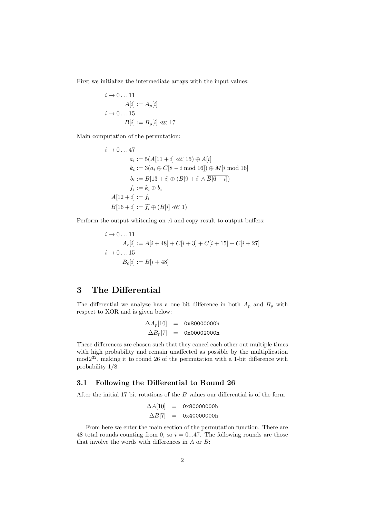First we initialize the intermediate arrays with the input values:

$$
i \to 0 \dots 11
$$
  
\n
$$
A[i] := A_p[i]
$$
  
\n
$$
i \to 0 \dots 15
$$
  
\n
$$
B[i] := B_p[i] \ll 17
$$

Main computation of the permutation:

$$
i \to 0...47
$$
  
\n
$$
a_i := 5(A[11 + i] \lll 15) \oplus A[i]
$$
  
\n
$$
k_i := 3(a_i \oplus C[8 - i \mod 16]) \oplus M[i \mod 16]
$$
  
\n
$$
b_i := B[13 + i] \oplus (B[9 + i] \wedge \overline{B[6 + i]})
$$
  
\n
$$
f_i := k_i \oplus b_i
$$
  
\n
$$
A[12 + i] := f_i
$$
  
\n
$$
B[16 + i] := \overline{f_i} \oplus (B[i] \lll 1)
$$

Perform the output whitening on A and copy result to output buffers:

$$
i \to 0...11
$$
  
\n
$$
A_c[i] := A[i + 48] + C[i + 3] + C[i + 15] + C[i + 27]
$$
  
\n
$$
i \to 0...15
$$
  
\n
$$
B_c[i] := B[i + 48]
$$

## 3 The Differential

The differential we analyze has a one bit difference in both  $A_p$  and  $B_p$  with respect to XOR and is given below:

$$
\begin{array}{rcl} \Delta A_p[10] &=& \texttt{0x80000000} \\ \Delta B_p[7] &=& \texttt{0x00002000} \end{array}
$$

These differences are chosen such that they cancel each other out multiple times with high probability and remain unaffected as possible by the multiplication mod2<sup>32</sup>, making it to round 26 of the permutation with a 1-bit difference with probability 1/8.

### 3.1 Following the Differential to Round 26

After the initial 17 bit rotations of the  $B$  values our differential is of the form

$$
\begin{array}{rcl}\n\Delta A[10] & = & 0 \times 80000000 \text{h} \\
\Delta B[7] & = & 0 \times 40000000 \text{h}\n\end{array}
$$

From here we enter the main section of the permutation function. There are 48 total rounds counting from 0, so  $i = 0...47$ . The following rounds are those that involve the words with differences in A or B: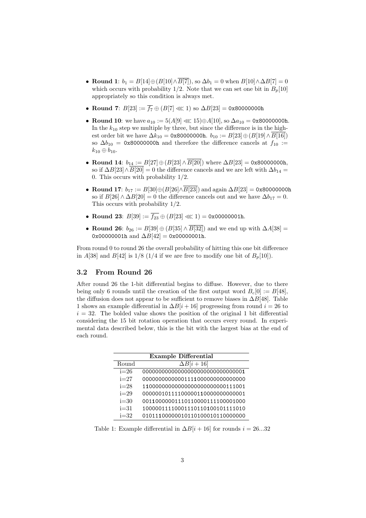- Round 1:  $b_1 = B[14] \oplus (B[10] \wedge \overline{B[7]})$ , so  $\Delta b_1 = 0$  when  $B[10] \wedge \Delta B[7] = 0$ which occurs with probability 1/2. Note that we can set one bit in  $B_p[10]$ appropriately so this condition is always met.
- Round 7:  $B[23] := \overline{f_7} \oplus (B[7] \lll 1)$  so  $\Delta B[23] = 0$ x80000000h
- Round 10: we have  $a_{10} := 5(A[9] \ll 15) \oplus A[10]$ , so  $\Delta a_{10} = 0$ x800000000h. In the  $k_{10}$  step we multiple by three, but since the difference is in the highest order bit we have  $\Delta k_{10} = 0$ x80000000h.  $b_{10} := B[23] \oplus (B[19] \wedge B[16])$ so  $\Delta b_{10}$  = 0x80000000h and therefore the difference cancels at  $f_{10}$  :=  $k_{10} \oplus b_{10}$ .
- Round 14:  $b_{14} := B[27] \oplus (B[23] \wedge \overline{B[20]})$  where  $\Delta B[23] = 0$ x80000000h, so if  $\Delta B[23]\wedge \overline{B[20]} = 0$  the difference cancels and we are left with  $\Delta b_{14} =$ 0. This occurs with probability 1/2.
- Round 17:  $b_{17} := B[30] \oplus (B[26] \wedge \overline{B[23]})$  and again  $\Delta B[23] = 0$ x800000000h so if  $B[26] \wedge \Delta B[20] = 0$  the difference cancels out and we have  $\Delta b_{17} = 0$ . This occurs with probability 1/2.
- Round 23:  $B[39] := \overline{f_{23}} \oplus (B[23] \lll 1) = 0x00000001h$ .
- Round 26:  $b_{26} := B[39] \oplus (B[35] \wedge \overline{B[32]})$  and we end up with  $\Delta A[38] =$ 0x00000001h and  $\Delta B[42] = 0x00000001h$ .

From round 0 to round 26 the overall probability of hitting this one bit difference in A[38] and B[42] is  $1/8$  (1/4 if we are free to modify one bit of  $B_p[10]$ ).

### 3.2 From Round 26

After round 26 the 1-bit differential begins to diffuse. However, due to there being only 6 rounds until the creation of the first output word  $B_c[0] := B[48]$ , the diffusion does not appear to be sufficient to remove biases in  $\Delta B[48]$ . Table 1 shows an example differential in  $\Delta B[i+16]$  progressing from round  $i = 26$  to  $i = 32$ . The bolded value shows the position of the original 1 bit differential considering the 15 bit rotation operation that occurs every round. In experimental data described below, this is the bit with the largest bias at the end of each round.

| <b>Example Differential</b> |                                       |  |  |
|-----------------------------|---------------------------------------|--|--|
| Round                       | $\Delta B[i+16]$                      |  |  |
| $i=26$                      | 0000000000000000000000000000000000001 |  |  |
| $i=27$                      | 00000000000001111000000000000000      |  |  |
| $i=28$                      | 11000000000000000000000000111001      |  |  |
| $i=29$                      | 00000010111100000110000000000001      |  |  |
| $i=30$                      | 00110000001110110000111100001000      |  |  |
| $i=31$                      | 10000011110001110110100101111010      |  |  |
| $i=32$                      | 01011100000010110100010110000000      |  |  |

Table 1: Example differential in  $\Delta B[i + 16]$  for rounds  $i = 26...32$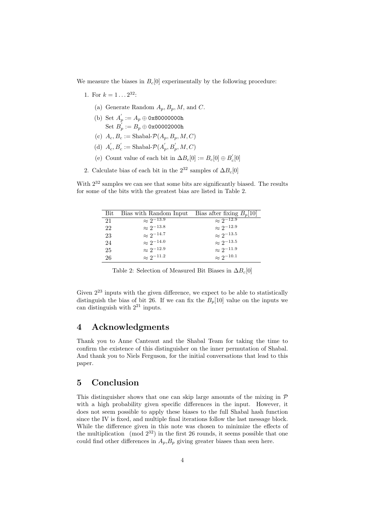We measure the biases in  $B<sub>c</sub>[0]$  experimentally by the following procedure:

- 1. For  $k = 1 \dots 2^{32}$ :
	- (a) Generate Random  $A_p, B_p, M$ , and C.
	- (b) Set  $A'_p := A_p \oplus \texttt{0x80000000h}$  $\mathrm{Set}\; B_p^{'}:=B_p\oplus$  0x00002000h
	- (c)  $A_c, B_c := \text{Shabal-} \mathcal{P}(A_p, B_p, M, C)$
	- (d)  $A_c, B_c' := \text{Shabal-} \mathcal{P}(A_p', B_p', M, C)$
	- (e) Count value of each bit in  $\Delta B_c[0]:=B_c[0]\oplus B_c'[0]$
- 2. Calculate bias of each bit in the  $2^{32}$  samples of  $\Delta B_c[0]$

With  $2^{32}$  samples we can see that some bits are significantly biased. The results for some of the bits with the greatest bias are listed in Table 2.

| Bit | Bias with Random Input | Bias after fixing $B_n[10]$ |
|-----|------------------------|-----------------------------|
| 21  | $\approx 2^{-13.9}$    | $\approx 2^{-12.9}$         |
| 22  | $\approx 2^{-13.8}$    | $\approx 2^{-12.9}$         |
| 23  | $\approx 2^{-14.7}$    | $\approx 2^{-13.5}$         |
| 24  | $\approx 2^{-14.0}$    | $\approx 2^{-13.5}$         |
| 25  | $\approx 2^{-12.9}$    | $\approx 2^{-11.9}$         |
| 26  | $\approx 2^{-11.2}$    | $\approx 2^{-10.1}$         |

Table 2: Selection of Measured Bit Biases in  $\Delta B_c[0]$ 

Given  $2^{23}$  inputs with the given difference, we expect to be able to statistically distinguish the bias of bit 26. If we can fix the  $B_n[10]$  value on the inputs we can distinguish with  $2^{21}$  inputs.

## 4 Acknowledgments

Thank you to Anne Canteaut and the Shabal Team for taking the time to confirm the existence of this distinguisher on the inner permutation of Shabal. And thank you to Niels Ferguson, for the initial conversations that lead to this paper.

## 5 Conclusion

This distinguisher shows that one can skip large amounts of the mixing in  $\mathcal P$ with a high probability given specific differences in the input. However, it does not seem possible to apply these biases to the full Shabal hash function since the IV is fixed, and multiple final iterations follow the last message block. While the difference given in this note was chosen to minimize the effects of the multiplication (mod  $2^{32}$ ) in the first 26 rounds, it seems possible that one could find other differences in  $A_p$ ,  $B_p$  giving greater biases than seen here.